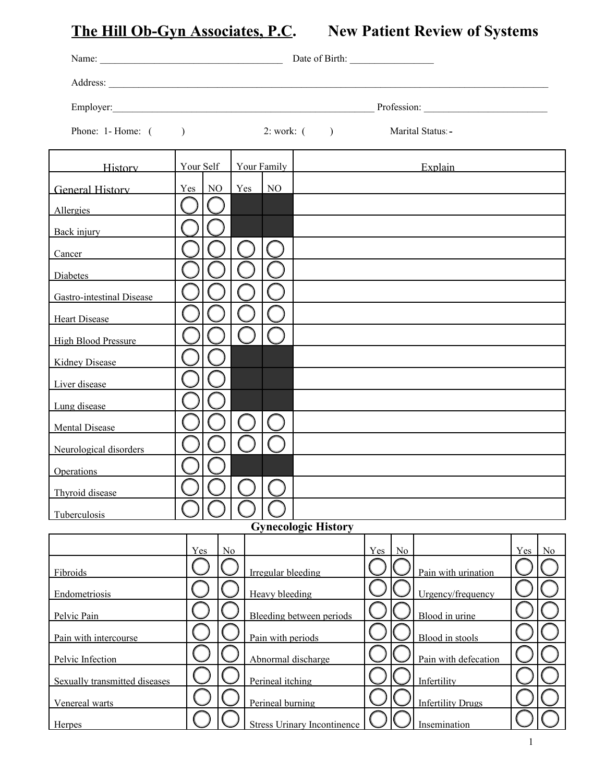**The Hill Ob-Gyn Associates, P.C. New Patient Review of Systems** 

| Employer: Profession: Profession: |               |    |                          |                    |                                    |         |                  |                          |     |    |  |  |
|-----------------------------------|---------------|----|--------------------------|--------------------|------------------------------------|---------|------------------|--------------------------|-----|----|--|--|
| Phone: $1$ -Home: $($             |               |    | 2: work: (               |                    |                                    |         | Marital Status - |                          |     |    |  |  |
| <b>History</b>                    | Your Self     |    | Your Family              |                    |                                    | Explain |                  |                          |     |    |  |  |
| General History                   | $Yes \mid NO$ |    | $Yes$   NO               |                    |                                    |         |                  |                          |     |    |  |  |
| Allergies                         |               |    |                          |                    |                                    |         |                  |                          |     |    |  |  |
| Back injury                       |               |    |                          |                    |                                    |         |                  |                          |     |    |  |  |
| Cancer                            |               |    |                          |                    |                                    |         |                  |                          |     |    |  |  |
| Diabetes                          |               |    |                          |                    |                                    |         |                  |                          |     |    |  |  |
| <b>Gastro-intestinal Disease</b>  |               |    |                          |                    |                                    |         |                  |                          |     |    |  |  |
| <b>Heart Disease</b>              |               |    |                          |                    |                                    |         |                  |                          |     |    |  |  |
| <b>High Blood Pressure</b>        |               |    |                          |                    |                                    |         |                  |                          |     |    |  |  |
| <b>Kidney Disease</b>             |               |    |                          |                    |                                    |         |                  |                          |     |    |  |  |
| Liver disease                     |               |    |                          |                    |                                    |         |                  |                          |     |    |  |  |
| Lung disease                      |               |    |                          |                    |                                    |         |                  |                          |     |    |  |  |
| <b>Mental Disease</b>             |               |    |                          |                    |                                    |         |                  |                          |     |    |  |  |
| Neurological disorders            |               |    |                          |                    |                                    |         |                  |                          |     |    |  |  |
| Operations                        |               |    |                          |                    |                                    |         |                  |                          |     |    |  |  |
| Thyroid disease                   |               |    |                          |                    |                                    |         |                  |                          |     |    |  |  |
| Tuberculosis                      |               |    |                          |                    |                                    |         |                  |                          |     |    |  |  |
|                                   |               |    |                          |                    | <b>Gynecologic History</b>         |         |                  |                          |     |    |  |  |
|                                   | Yes           | No |                          |                    |                                    | Yes     | No               |                          | Yes | No |  |  |
| Fibroids                          |               |    |                          | Irregular bleeding |                                    |         |                  | Pain with urination      |     |    |  |  |
| Endometriosis                     |               |    | <b>Heavy</b> bleeding    |                    |                                    |         |                  | Urgency/frequency        |     |    |  |  |
| Pelvic Pain                       |               |    | Bleeding between periods |                    |                                    |         |                  | Blood in urine           |     |    |  |  |
| Pain with intercourse             |               |    | Pain with periods        |                    |                                    |         |                  | Blood in stools          |     |    |  |  |
| Pelvic Infection                  |               |    |                          | Abnormal discharge |                                    |         |                  | Pain with defecation     |     |    |  |  |
| Sexually transmitted diseases     |               |    |                          | Perineal itching   |                                    |         |                  | Infertility              |     |    |  |  |
| Venereal warts                    |               |    |                          | Perineal burning   |                                    |         |                  | <b>Infertility Drugs</b> |     |    |  |  |
| <b>Herpes</b>                     |               |    |                          |                    | <b>Stress Urinary Incontinence</b> |         |                  | Insemination             |     |    |  |  |